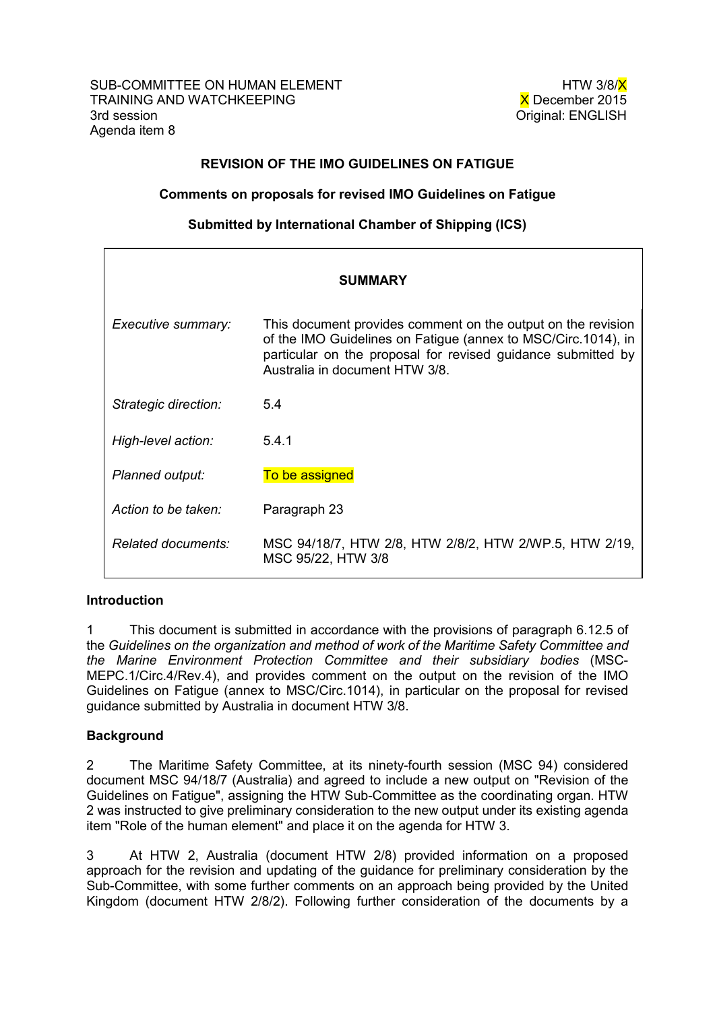# REVISION OF THE IMO GUIDELINES ON FATIGUE

### Comments on proposals for revised IMO Guidelines on Fatigue

### Submitted by International Chamber of Shipping (ICS)

| <b>SUMMARY</b>       |                                                                                                                                                                                                                                 |
|----------------------|---------------------------------------------------------------------------------------------------------------------------------------------------------------------------------------------------------------------------------|
| Executive summary:   | This document provides comment on the output on the revision<br>of the IMO Guidelines on Fatigue (annex to MSC/Circ.1014), in<br>particular on the proposal for revised guidance submitted by<br>Australia in document HTW 3/8. |
| Strategic direction: | 5.4                                                                                                                                                                                                                             |
| High-level action:   | 5.4.1                                                                                                                                                                                                                           |
| Planned output:      | To be assigned                                                                                                                                                                                                                  |
| Action to be taken:  | Paragraph 23                                                                                                                                                                                                                    |
| Related documents:   | MSC 94/18/7, HTW 2/8, HTW 2/8/2, HTW 2/WP.5, HTW 2/19,<br>MSC 95/22, HTW 3/8                                                                                                                                                    |

#### Introduction

1 This document is submitted in accordance with the provisions of paragraph 6.12.5 of the *Guidelines on the organization and method of work of the Maritime Safety Committee and the Marine Environment Protection Committee and their subsidiary bodies* (MSC-MEPC.1/Circ.4/Rev.4), and provides comment on the output on the revision of the IMO Guidelines on Fatigue (annex to MSC/Circ.1014), in particular on the proposal for revised guidance submitted by Australia in document HTW 3/8.

## **Background**

2 The Maritime Safety Committee, at its ninety-fourth session (MSC 94) considered document MSC 94/18/7 (Australia) and agreed to include a new output on "Revision of the Guidelines on Fatigue", assigning the HTW Sub-Committee as the coordinating organ. HTW 2 was instructed to give preliminary consideration to the new output under its existing agenda item "Role of the human element" and place it on the agenda for HTW 3.

3 At HTW 2, Australia (document HTW 2/8) provided information on a proposed approach for the revision and updating of the guidance for preliminary consideration by the Sub-Committee, with some further comments on an approach being provided by the United Kingdom (document HTW 2/8/2). Following further consideration of the documents by a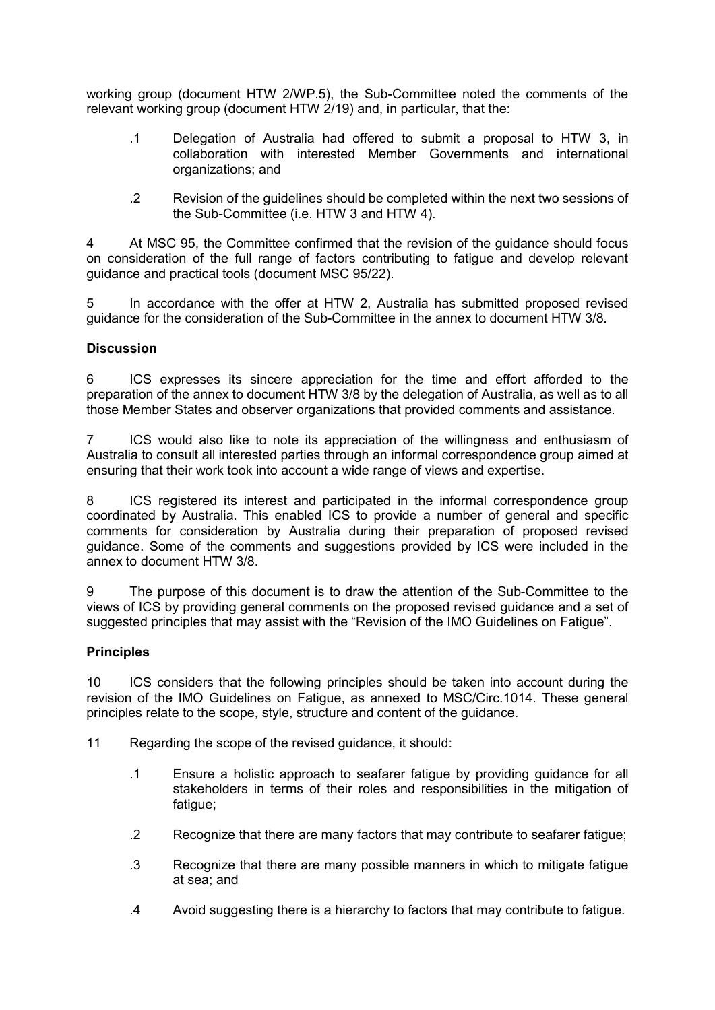working group (document HTW 2/WP.5), the Sub-Committee noted the comments of the relevant working group (document HTW 2/19) and, in particular, that the:

- .1 Delegation of Australia had offered to submit a proposal to HTW 3, in collaboration with interested Member Governments and international organizations; and
- .2 Revision of the guidelines should be completed within the next two sessions of the Sub-Committee (i.e. HTW 3 and HTW 4).

4 At MSC 95, the Committee confirmed that the revision of the guidance should focus on consideration of the full range of factors contributing to fatigue and develop relevant guidance and practical tools (document MSC 95/22).

5 In accordance with the offer at HTW 2, Australia has submitted proposed revised guidance for the consideration of the Sub-Committee in the annex to document HTW 3/8.

#### **Discussion**

6 ICS expresses its sincere appreciation for the time and effort afforded to the preparation of the annex to document HTW 3/8 by the delegation of Australia, as well as to all those Member States and observer organizations that provided comments and assistance.

7 ICS would also like to note its appreciation of the willingness and enthusiasm of Australia to consult all interested parties through an informal correspondence group aimed at ensuring that their work took into account a wide range of views and expertise.

8 ICS registered its interest and participated in the informal correspondence group coordinated by Australia. This enabled ICS to provide a number of general and specific comments for consideration by Australia during their preparation of proposed revised guidance. Some of the comments and suggestions provided by ICS were included in the annex to document HTW 3/8.

9 The purpose of this document is to draw the attention of the Sub-Committee to the views of ICS by providing general comments on the proposed revised guidance and a set of suggested principles that may assist with the "Revision of the IMO Guidelines on Fatigue".

#### **Principles**

10 ICS considers that the following principles should be taken into account during the revision of the IMO Guidelines on Fatigue, as annexed to MSC/Circ.1014. These general principles relate to the scope, style, structure and content of the guidance.

11 Regarding the scope of the revised guidance, it should:

- .1 Ensure a holistic approach to seafarer fatigue by providing guidance for all stakeholders in terms of their roles and responsibilities in the mitigation of fatique:
- .2 Recognize that there are many factors that may contribute to seafarer fatigue;
- .3 Recognize that there are many possible manners in which to mitigate fatigue at sea; and
- .4 Avoid suggesting there is a hierarchy to factors that may contribute to fatigue.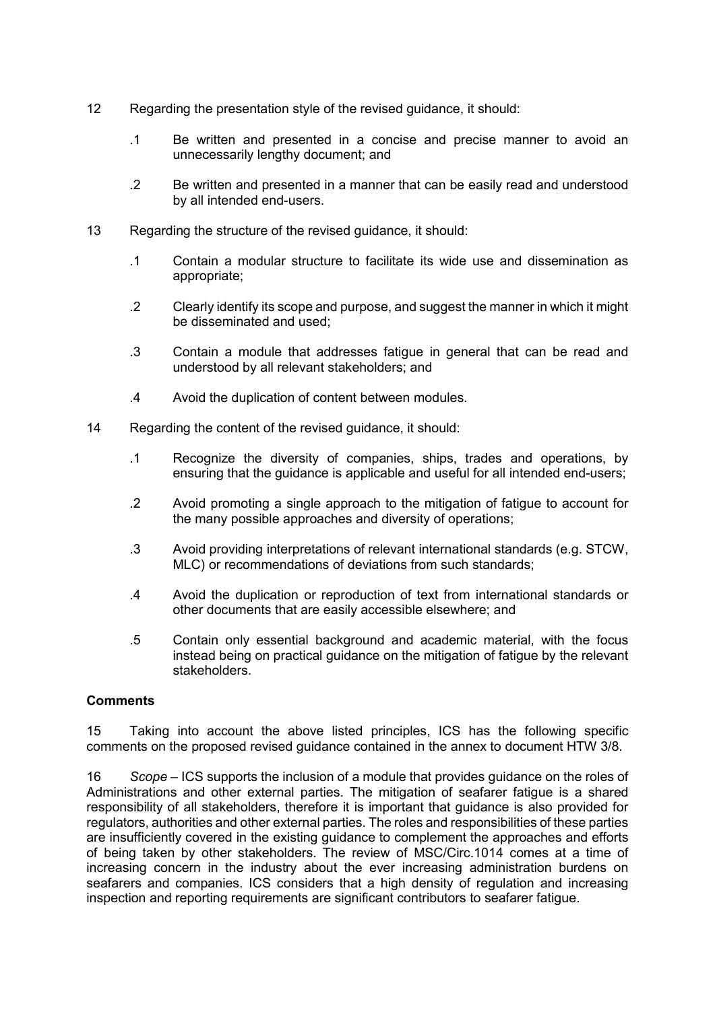- 12 Regarding the presentation style of the revised guidance, it should:
	- .1 Be written and presented in a concise and precise manner to avoid an unnecessarily lengthy document; and
	- .2 Be written and presented in a manner that can be easily read and understood by all intended end-users.
- 13 Regarding the structure of the revised guidance, it should:
	- .1 Contain a modular structure to facilitate its wide use and dissemination as appropriate;
	- .2 Clearly identify its scope and purpose, and suggest the manner in which it might be disseminated and used;
	- .3 Contain a module that addresses fatigue in general that can be read and understood by all relevant stakeholders; and
	- .4 Avoid the duplication of content between modules.
- 14 Regarding the content of the revised guidance, it should:
	- .1 Recognize the diversity of companies, ships, trades and operations, by ensuring that the guidance is applicable and useful for all intended end-users;
	- .2 Avoid promoting a single approach to the mitigation of fatigue to account for the many possible approaches and diversity of operations;
	- .3 Avoid providing interpretations of relevant international standards (e.g. STCW, MLC) or recommendations of deviations from such standards;
	- .4 Avoid the duplication or reproduction of text from international standards or other documents that are easily accessible elsewhere; and
	- .5 Contain only essential background and academic material, with the focus instead being on practical guidance on the mitigation of fatigue by the relevant stakeholders.

#### **Comments**

15 Taking into account the above listed principles, ICS has the following specific comments on the proposed revised guidance contained in the annex to document HTW 3/8.

16 *Scope* – ICS supports the inclusion of a module that provides guidance on the roles of Administrations and other external parties. The mitigation of seafarer fatigue is a shared responsibility of all stakeholders, therefore it is important that guidance is also provided for regulators, authorities and other external parties. The roles and responsibilities of these parties are insufficiently covered in the existing guidance to complement the approaches and efforts of being taken by other stakeholders. The review of MSC/Circ.1014 comes at a time of increasing concern in the industry about the ever increasing administration burdens on seafarers and companies. ICS considers that a high density of regulation and increasing inspection and reporting requirements are significant contributors to seafarer fatigue.